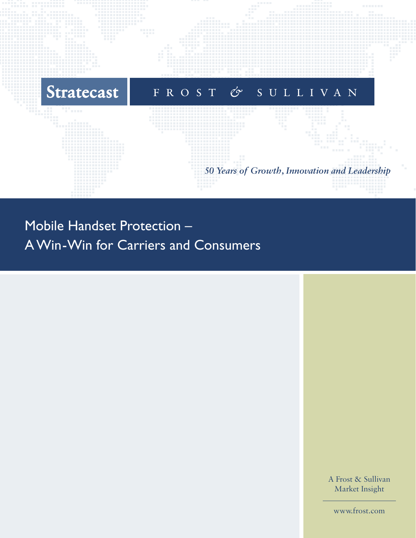

# Mobile Handset Protection – A Win-Win for Carriers and Consumers

A Frost & Sullivan Market Insight

[www.frost.com](http://www.frost.com)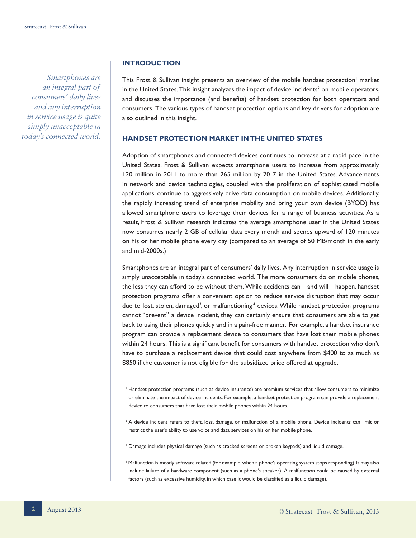*Smartphones are an integral part of consumers' daily lives and any interruption in service usage is quite simply unacceptable in today's connected world.*

#### **INTRODUCTION**

This Frost & Sullivan insight presents an overview of the mobile handset protection<sup>1</sup> market in the United States. This insight analyzes the impact of device incidents<sup>2</sup> on mobile operators, and discusses the importance (and benefits) of handset protection for both operators and consumers. The various types of handset protection options and key drivers for adoption are also outlined in this insight.

#### **HANDSET PROTECTION MARKET IN THE UNITED STATES**

Adoption of smartphones and connected devices continues to increase at a rapid pace in the United States. Frost & Sullivan expects smartphone users to increase from approximately 120 million in 2011 to more than 265 million by 2017 in the United States. Advancements in network and device technologies, coupled with the proliferation of sophisticated mobile applications, continue to aggressively drive data consumption on mobile devices. Additionally, the rapidly increasing trend of enterprise mobility and bring your own device (BYOD) has allowed smartphone users to leverage their devices for a range of business activities. As a result, Frost & Sullivan research indicates the average smartphone user in the United States now consumes nearly 2 GB of cellular data every month and spends upward of 120 minutes on his or her mobile phone every day (compared to an average of 50 MB/month in the early and mid-2000s.)

Smartphones are an integral part of consumers' daily lives. Any interruption in service usage is simply unacceptable in today's connected world. The more consumers do on mobile phones, the less they can afford to be without them. While accidents can—and will—happen, handset protection programs offer a convenient option to reduce service disruption that may occur due to lost, stolen, damaged<sup>3</sup>, or malfunctioning<sup>4</sup> devices. While handset protection programs cannot "prevent" a device incident, they can certainly ensure that consumers are able to get back to using their phones quickly and in a pain-free manner. For example, a handset insurance program can provide a replacement device to consumers that have lost their mobile phones within 24 hours. This is a significant benefit for consumers with handset protection who don't have to purchase a replacement device that could cost anywhere from \$400 to as much as \$850 if the customer is not eligible for the subsidized price offered at upgrade.

- $^3$  Damage includes physical damage (such as cracked screens or broken keypads) and liquid damage.
- 4 Malfunction is mostly software related (for example, when a phone's operating system stops responding). It may also include failure of a hardware component (such as a phone's speaker). A malfunction could be caused by external factors (such as excessive humidity, in which case it would be classified as a liquid damage).

<sup>1</sup> Handset protection programs (such as device insurance) are premium services that allow consumers to minimize or eliminate the impact of device incidents. For example, a handset protection program can provide a replacement device to consumers that have lost their mobile phones within 24 hours.

<sup>&</sup>lt;sup>2</sup> A device incident refers to theft, loss, damage, or malfunction of a mobile phone. Device incidents can limit or restrict the user's ability to use voice and data services on his or her mobile phone.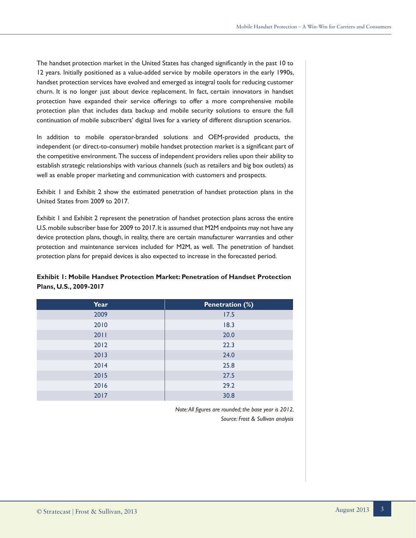The handset protection market in the United States has changed significantly in the past 10 to 12 years. Initially positioned as a value-added service by mobile operators in the early 1990s, handset protection services have evolved and emerged as integral tools for reducing customer churn. It is no longer just about device replacement. In fact, certain innovators in handset protection have expanded their service offerings to offer a more comprehensive mobile protection plan that includes data backup and mobile security solutions to ensure the full continuation of mobile subscribers' digital lives for a variety of different disruption scenarios.

In addition to mobile operator-branded solutions and OEM-provided products, the independent (or direct-to-consumer) mobile handset protection market is a significant part of the competitive environment. The success of independent providers relies upon their ability to establish strategic relationships with various channels (such as retailers and big box outlets) as well as enable proper marketing and communication with customers and prospects.

Exhibit 1 and Exhibit 2 show the estimated penetration of handset protection plans in the United States from 2009 to 2017.

Exhibit 1 and Exhibit 2 represent the penetration of handset protection plans across the entire U.S. mobile subscriber base for 2009 to 2017. It is assumed that M2M endpoints may not have any device protection plans, though, in reality, there are certain manufacturer warranties and other protection and maintenance services included for M2M, as well. The penetration of handset protection plans for prepaid devices is also expected to increase in the forecasted period.

# **Exhibit 1: Mobile Handset Protection Market: Penetration of Handset Protection Plans, U.S., 2009-2017**

| Year | <b>Penetration (%)</b> |  |
|------|------------------------|--|
| 2009 | 17.5                   |  |
| 2010 | 18.3                   |  |
| 2011 | 20.0                   |  |
| 2012 | 22.3                   |  |
| 2013 | 24.0                   |  |
| 2014 | 25.8                   |  |
| 2015 | 27.5                   |  |
| 2016 | 29.2                   |  |
| 2017 | 30.8                   |  |

*Note: All figures are rounded; the base year is 2012. Source: Frost & Sullivan analysis*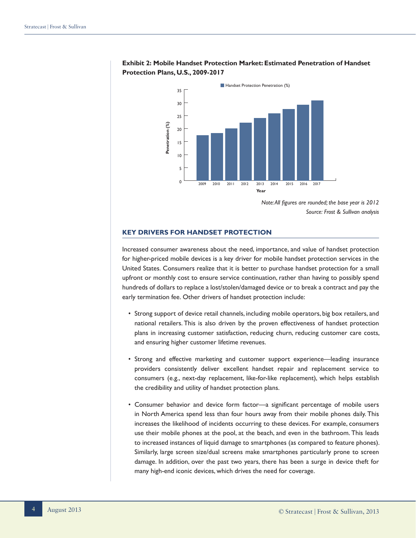

## **Exhibit 2: Mobile Handset Protection Market: Estimated Penetration of Handset Protection Plans, U.S., 2009-2017**

*Note: All figures are rounded; the base year is 2012 Source: Frost & Sullivan analysis*

## **KEY DRIVERS FOR HANDSET PROTECTION**

Increased consumer awareness about the need, importance, and value of handset protection for higher-priced mobile devices is a key driver for mobile handset protection services in the United States. Consumers realize that it is better to purchase handset protection for a small upfront or monthly cost to ensure service continuation, rather than having to possibly spend hundreds of dollars to replace a lost/stolen/damaged device or to break a contract and pay the early termination fee. Other drivers of handset protection include:

- Strong support of device retail channels, including mobile operators, big box retailers, and national retailers. This is also driven by the proven effectiveness of handset protection plans in increasing customer satisfaction, reducing churn, reducing customer care costs, and ensuring higher customer lifetime revenues.
- Strong and effective marketing and customer support experience—leading insurance providers consistently deliver excellent handset repair and replacement service to consumers (e.g., next-day replacement, like-for-like replacement), which helps establish the credibility and utility of handset protection plans.
- Consumer behavior and device form factor—a significant percentage of mobile users in North America spend less than four hours away from their mobile phones daily. This increases the likelihood of incidents occurring to these devices. For example, consumers use their mobile phones at the pool, at the beach, and even in the bathroom. This leads to increased instances of liquid damage to smartphones (as compared to feature phones). Similarly, large screen size/dual screens make smartphones particularly prone to screen damage. In addition, over the past two years, there has been a surge in device theft for many high-end iconic devices, which drives the need for coverage.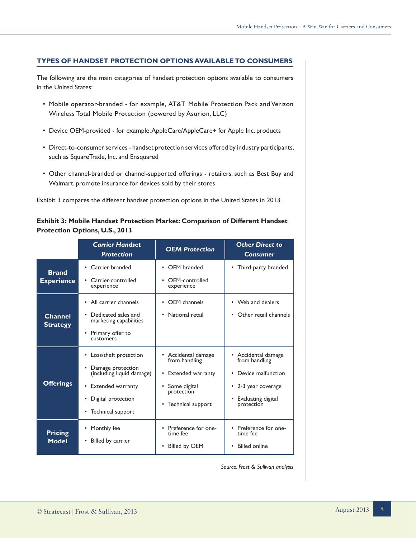## **TYPES OF HANDSET PROTECTION OPTIONS AVAILABLE TO CONSUMERS**

The following are the main categories of handset protection options available to consumers in the United States:

- Mobile operator-branded for example, AT&T Mobile Protection Pack and Verizon Wireless Total Mobile Protection (powered by Asurion, LLC)
- Device OEM-provided for example, AppleCare/AppleCare+ for Apple Inc. products
- Direct-to-consumer services handset protection services offered by industry participants, such as SquareTrade, Inc. and Ensquared
- Other channel-branded or channel-supported offerings retailers, such as Best Buy and Walmart, promote insurance for devices sold by their stores

Exhibit 3 compares the different handset protection options in the United States in 2013.

## **Exhibit 3: Mobile Handset Protection Market: Comparison of Different Handset Protection Options, U.S., 2013**

|                                   | <b>Carrier Handset</b><br><b>Protection</b>                                                                                                                 | <b>OEM Protection</b>                                                                                            | <b>Other Direct to</b><br><b>Consumer</b>                                                                                          |
|-----------------------------------|-------------------------------------------------------------------------------------------------------------------------------------------------------------|------------------------------------------------------------------------------------------------------------------|------------------------------------------------------------------------------------------------------------------------------------|
| <b>Brand</b><br><b>Experience</b> | • Carrier branded<br>Carrier-controlled<br>$\bullet$<br>experience                                                                                          | • OEM branded<br>OEM-controlled<br>$\bullet$<br>experience                                                       | • Third-party branded                                                                                                              |
| <b>Channel</b><br><b>Strategy</b> | • All carrier channels<br>Dedicated sales and<br>marketing capabilities<br>Primary offer to<br><b>CUSTOMARS</b>                                             | • OEM channels<br>National retail<br>$\bullet$                                                                   | • Web and dealers<br>Other retail channels<br>٠                                                                                    |
| <b>Offerings</b>                  | Loss/theft protection<br>Damage protection<br>(including liquid damage)<br><b>Extended warranty</b><br>$\bullet$<br>Digital protection<br>Technical support | • Accidental damage<br>from handling<br>• Extended warranty<br>Some digital<br>protection<br>• Technical support | • Accidental damage<br>from handling<br>Device malfunction<br>$\bullet$<br>• 2-3 year coverage<br>Evaluating digital<br>protection |
| <b>Pricing</b><br><b>Model</b>    | Monthly fee<br>Billed by carrier                                                                                                                            | Preference for one-<br>time fee<br><b>Billed by OEM</b><br>$\bullet$                                             | Preference for one-<br>$\bullet$<br>time fee<br>Billed online<br>$\bullet$                                                         |

*Source: Frost & Sullivan analysis*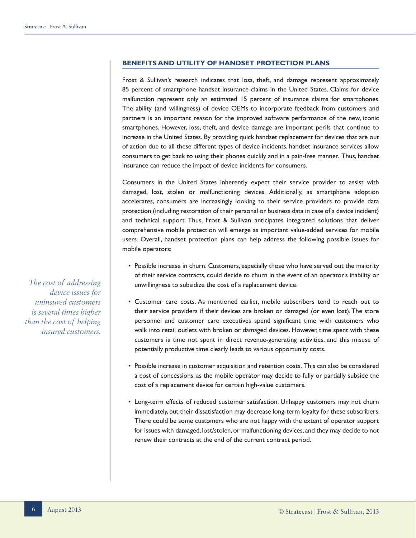## **BENEFITS AND UTILITY OF HANDSET PROTECTION PLANS**

Frost & Sullivan's research indicates that loss, theft, and damage represent approximately 85 percent of smartphone handset insurance claims in the United States. Claims for device malfunction represent only an estimated 15 percent of insurance claims for smartphones. The ability (and willingness) of device OEMs to incorporate feedback from customers and partners is an important reason for the improved software performance of the new, iconic smartphones. However, loss, theft, and device damage are important perils that continue to increase in the United States. By providing quick handset replacement for devices that are out of action due to all these different types of device incidents, handset insurance services allow consumers to get back to using their phones quickly and in a pain-free manner. Thus, handset insurance can reduce the impact of device incidents for consumers.

Consumers in the United States inherently expect their service provider to assist with damaged, lost, stolen or malfunctioning devices. Additionally, as smartphone adoption accelerates, consumers are increasingly looking to their service providers to provide data protection (including restoration of their personal or business data in case of a device incident) and technical support. Thus, Frost & Sullivan anticipates integrated solutions that deliver comprehensive mobile protection will emerge as important value-added services for mobile users. Overall, handset protection plans can help address the following possible issues for mobile operators:

- Possible increase in churn. Customers, especially those who have served out the majority of their service contracts, could decide to churn in the event of an operator's inability or unwillingness to subsidize the cost of a replacement device.
- Customer care costs. As mentioned earlier, mobile subscribers tend to reach out to their service providers if their devices are broken or damaged (or even lost). The store personnel and customer care executives spend significant time with customers who walk into retail outlets with broken or damaged devices. However, time spent with these customers is time not spent in direct revenue-generating activities, and this misuse of potentially productive time clearly leads to various opportunity costs.
- Possible increase in customer acquisition and retention costs. This can also be considered a cost of concessions, as the mobile operator may decide to fully or partially subside the cost of a replacement device for certain high-value customers.
- Long-term effects of reduced customer satisfaction. Unhappy customers may not churn immediately, but their dissatisfaction may decrease long-term loyalty for these subscribers. There could be some customers who are not happy with the extent of operator support for issues with damaged, lost/stolen, or malfunctioning devices, and they may decide to not renew their contracts at the end of the current contract period.

*The cost of addressing device issues for uninsured customers is several times higher than the cost of helping insured customers.*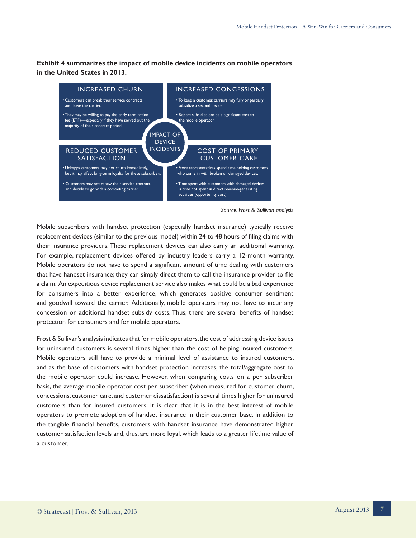**Exhibit 4 summarizes the impact of mobile device incidents on mobile operators in the United States in 2013.**



*Source: Frost & Sullivan analysis*

Mobile subscribers with handset protection (especially handset insurance) typically receive replacement devices (similar to the previous model) within 24 to 48 hours of filing claims with their insurance providers. These replacement devices can also carry an additional warranty. For example, replacement devices offered by industry leaders carry a 12-month warranty. Mobile operators do not have to spend a significant amount of time dealing with customers that have handset insurance; they can simply direct them to call the insurance provider to file a claim. An expeditious device replacement service also makes what could be a bad experience for consumers into a better experience, which generates positive consumer sentiment and goodwill toward the carrier. Additionally, mobile operators may not have to incur any concession or additional handset subsidy costs. Thus, there are several benefits of handset protection for consumers and for mobile operators.

Frost & Sullivan's analysis indicates that for mobile operators, the cost of addressing device issues for uninsured customers is several times higher than the cost of helping insured customers. Mobile operators still have to provide a minimal level of assistance to insured customers, and as the base of customers with handset protection increases, the total/aggregate cost to the mobile operator could increase. However, when comparing costs on a per subscriber basis, the average mobile operator cost per subscriber (when measured for customer churn, concessions, customer care, and customer dissatisfaction) is several times higher for uninsured customers than for insured customers. It is clear that it is in the best interest of mobile operators to promote adoption of handset insurance in their customer base. In addition to the tangible financial benefits, customers with handset insurance have demonstrated higher customer satisfaction levels and, thus, are more loyal, which leads to a greater lifetime value of a customer.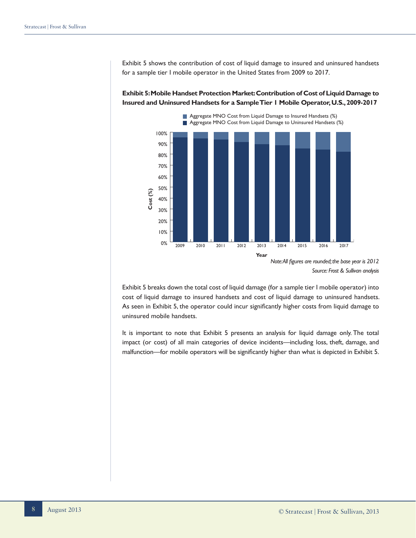Exhibit 5 shows the contribution of cost of liquid damage to insured and uninsured handsets for a sample tier I mobile operator in the United States from 2009 to 2017.

0% 10% 20% 30% 40% 50% 60% 70% 80% 90% 100% **Year** 2009 2010 2011 2012 2013 2014 2015 2016 2017 **Cost (%)** Aggregate MNO Cost from Liquid Damage to Insured Handsets (%) Aggregate MNO Cost from Liquid Damage to Uninsured Handsets (%)

**Exhibit 5: Mobile Handset Protection Market: Contribution of Cost of Liquid Damage to Insured and Uninsured Handsets for a Sample Tier 1 Mobile Operator, U.S., 2009-2017**

Exhibit 5 breaks down the total cost of liquid damage (for a sample tier I mobile operator) into cost of liquid damage to insured handsets and cost of liquid damage to uninsured handsets. As seen in Exhibit 5, the operator could incur significantly higher costs from liquid damage to uninsured mobile handsets.

It is important to note that Exhibit 5 presents an analysis for liquid damage only. The total impact (or cost) of all main categories of device incidents—including loss, theft, damage, and malfunction—for mobile operators will be significantly higher than what is depicted in Exhibit 5.

*Note: All figures are rounded; the base year is 2012 Source: Frost & Sullivan analysis*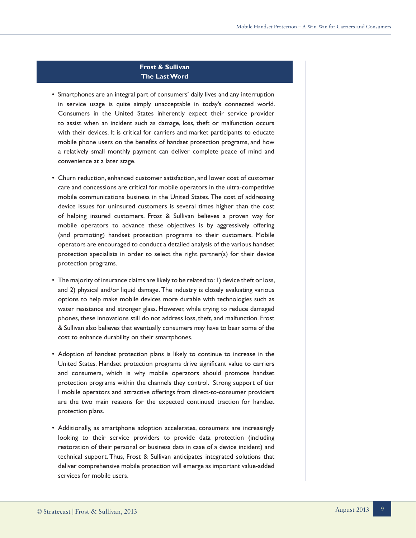## **Frost & Sullivan The Last Word**

- Smartphones are an integral part of consumers' daily lives and any interruption in service usage is quite simply unacceptable in today's connected world. Consumers in the United States inherently expect their service provider to assist when an incident such as damage, loss, theft or malfunction occurs with their devices. It is critical for carriers and market participants to educate mobile phone users on the benefits of handset protection programs, and how a relatively small monthly payment can deliver complete peace of mind and convenience at a later stage.
- Churn reduction, enhanced customer satisfaction, and lower cost of customer care and concessions are critical for mobile operators in the ultra-competitive mobile communications business in the United States. The cost of addressing device issues for uninsured customers is several times higher than the cost of helping insured customers. Frost & Sullivan believes a proven way for mobile operators to advance these objectives is by aggressively offering (and promoting) handset protection programs to their customers. Mobile operators are encouraged to conduct a detailed analysis of the various handset protection specialists in order to select the right partner(s) for their device protection programs.
- The majority of insurance claims are likely to be related to: 1) device theft or loss, and 2) physical and/or liquid damage. The industry is closely evaluating various options to help make mobile devices more durable with technologies such as water resistance and stronger glass. However, while trying to reduce damaged phones, these innovations still do not address loss, theft, and malfunction. Frost & Sullivan also believes that eventually consumers may have to bear some of the cost to enhance durability on their smartphones.
- Adoption of handset protection plans is likely to continue to increase in the United States. Handset protection programs drive significant value to carriers and consumers, which is why mobile operators should promote handset protection programs within the channels they control. Strong support of tier I mobile operators and attractive offerings from direct-to-consumer providers are the two main reasons for the expected continued traction for handset protection plans.
- Additionally, as smartphone adoption accelerates, consumers are increasingly looking to their service providers to provide data protection (including restoration of their personal or business data in case of a device incident) and technical support. Thus, Frost & Sullivan anticipates integrated solutions that deliver comprehensive mobile protection will emerge as important value-added services for mobile users.